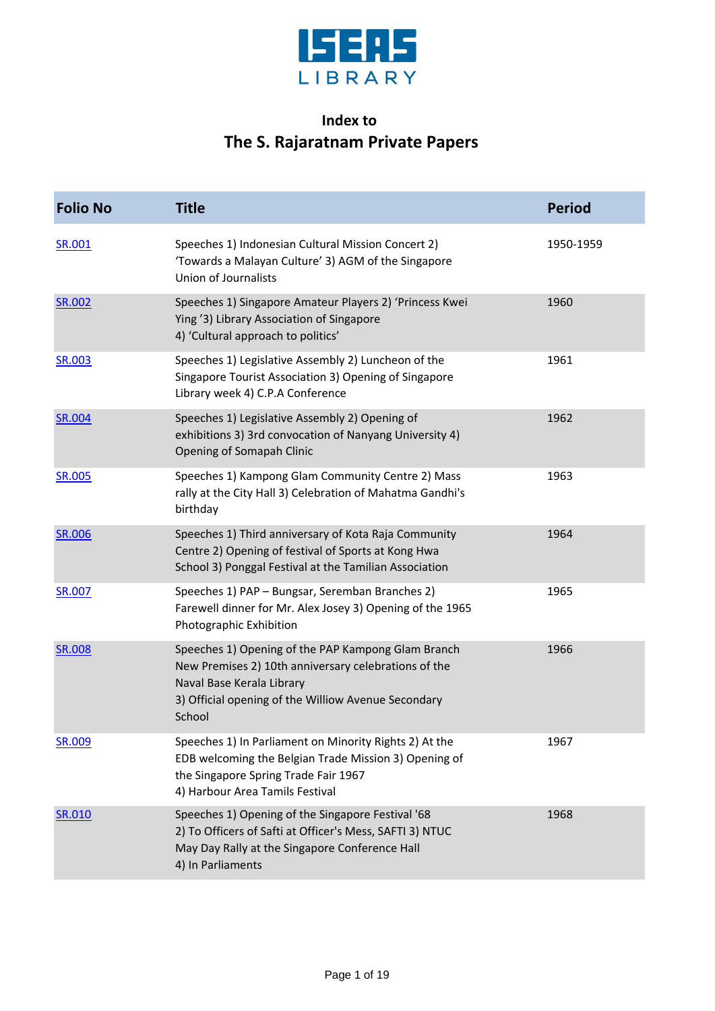

## **Index to The S. Rajaratnam Private Papers**

| <b>Folio No</b> | <b>Title</b>                                                                                                                                                                                             | <b>Period</b> |
|-----------------|----------------------------------------------------------------------------------------------------------------------------------------------------------------------------------------------------------|---------------|
| SR.001          | Speeches 1) Indonesian Cultural Mission Concert 2)<br>'Towards a Malayan Culture' 3) AGM of the Singapore<br>Union of Journalists                                                                        | 1950-1959     |
| <b>SR.002</b>   | Speeches 1) Singapore Amateur Players 2) 'Princess Kwei<br>Ying '3) Library Association of Singapore<br>4) 'Cultural approach to politics'                                                               | 1960          |
| SR.003          | Speeches 1) Legislative Assembly 2) Luncheon of the<br>Singapore Tourist Association 3) Opening of Singapore<br>Library week 4) C.P.A Conference                                                         | 1961          |
| <b>SR.004</b>   | Speeches 1) Legislative Assembly 2) Opening of<br>exhibitions 3) 3rd convocation of Nanyang University 4)<br>Opening of Somapah Clinic                                                                   | 1962          |
| <b>SR.005</b>   | Speeches 1) Kampong Glam Community Centre 2) Mass<br>rally at the City Hall 3) Celebration of Mahatma Gandhi's<br>birthday                                                                               | 1963          |
| SR.006          | Speeches 1) Third anniversary of Kota Raja Community<br>Centre 2) Opening of festival of Sports at Kong Hwa<br>School 3) Ponggal Festival at the Tamilian Association                                    | 1964          |
| SR.007          | Speeches 1) PAP - Bungsar, Seremban Branches 2)<br>Farewell dinner for Mr. Alex Josey 3) Opening of the 1965<br>Photographic Exhibition                                                                  | 1965          |
| <b>SR.008</b>   | Speeches 1) Opening of the PAP Kampong Glam Branch<br>New Premises 2) 10th anniversary celebrations of the<br>Naval Base Kerala Library<br>3) Official opening of the Williow Avenue Secondary<br>School | 1966          |
| SR.009          | Speeches 1) In Parliament on Minority Rights 2) At the<br>EDB welcoming the Belgian Trade Mission 3) Opening of<br>the Singapore Spring Trade Fair 1967<br>4) Harbour Area Tamils Festival               | 1967          |
| SR.010          | Speeches 1) Opening of the Singapore Festival '68<br>2) To Officers of Safti at Officer's Mess, SAFTI 3) NTUC<br>May Day Rally at the Singapore Conference Hall<br>4) In Parliaments                     | 1968          |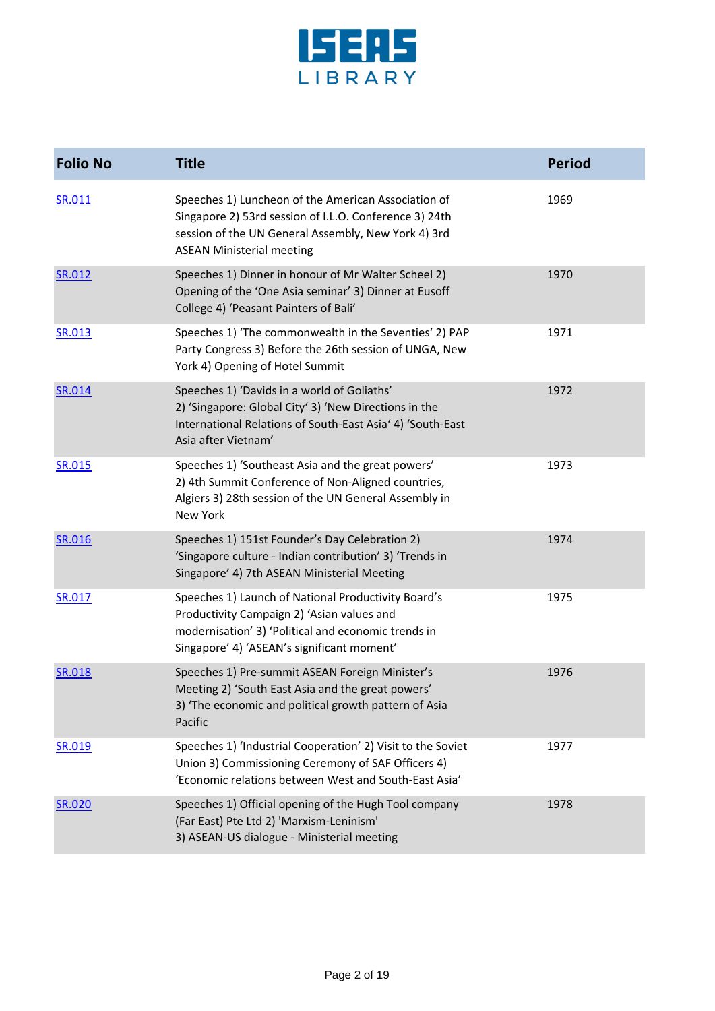

| <b>Folio No</b> | <b>Title</b>                                                                                                                                                                                             | <b>Period</b> |
|-----------------|----------------------------------------------------------------------------------------------------------------------------------------------------------------------------------------------------------|---------------|
| SR.011          | Speeches 1) Luncheon of the American Association of<br>Singapore 2) 53rd session of I.L.O. Conference 3) 24th<br>session of the UN General Assembly, New York 4) 3rd<br><b>ASEAN Ministerial meeting</b> | 1969          |
| SR.012          | Speeches 1) Dinner in honour of Mr Walter Scheel 2)<br>Opening of the 'One Asia seminar' 3) Dinner at Eusoff<br>College 4) 'Peasant Painters of Bali'                                                    | 1970          |
| SR.013          | Speeches 1) 'The commonwealth in the Seventies' 2) PAP<br>Party Congress 3) Before the 26th session of UNGA, New<br>York 4) Opening of Hotel Summit                                                      | 1971          |
| SR.014          | Speeches 1) 'Davids in a world of Goliaths'<br>2) 'Singapore: Global City' 3) 'New Directions in the<br>International Relations of South-East Asia' 4) 'South-East<br>Asia after Vietnam'                | 1972          |
| <b>SR.015</b>   | Speeches 1) 'Southeast Asia and the great powers'<br>2) 4th Summit Conference of Non-Aligned countries,<br>Algiers 3) 28th session of the UN General Assembly in<br>New York                             | 1973          |
| SR.016          | Speeches 1) 151st Founder's Day Celebration 2)<br>'Singapore culture - Indian contribution' 3) 'Trends in<br>Singapore' 4) 7th ASEAN Ministerial Meeting                                                 | 1974          |
| SR.017          | Speeches 1) Launch of National Productivity Board's<br>Productivity Campaign 2) 'Asian values and<br>modernisation' 3) 'Political and economic trends in<br>Singapore' 4) 'ASEAN's significant moment'   | 1975          |
| SR.018          | Speeches 1) Pre-summit ASEAN Foreign Minister's<br>Meeting 2) 'South East Asia and the great powers'<br>3) 'The economic and political growth pattern of Asia<br>Pacific                                 | 1976          |
| SR.019          | Speeches 1) 'Industrial Cooperation' 2) Visit to the Soviet<br>Union 3) Commissioning Ceremony of SAF Officers 4)<br>'Economic relations between West and South-East Asia'                               | 1977          |
| <b>SR.020</b>   | Speeches 1) Official opening of the Hugh Tool company<br>(Far East) Pte Ltd 2) 'Marxism-Leninism'<br>3) ASEAN-US dialogue - Ministerial meeting                                                          | 1978          |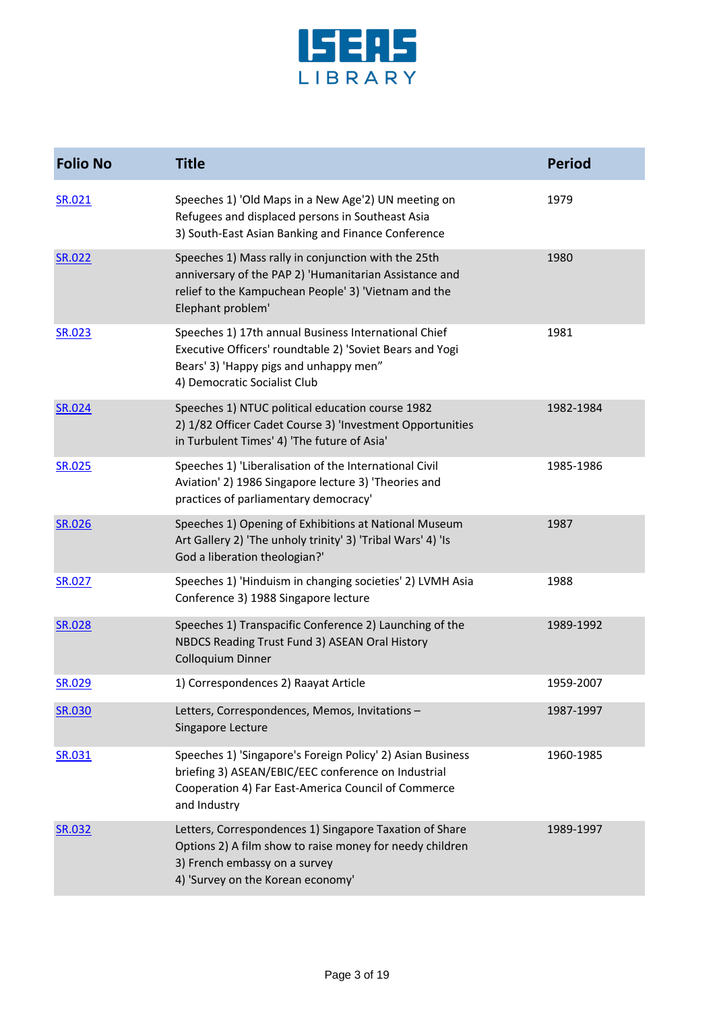

| <b>Folio No</b> | <b>Title</b>                                                                                                                                                                               | <b>Period</b> |
|-----------------|--------------------------------------------------------------------------------------------------------------------------------------------------------------------------------------------|---------------|
| SR.021          | Speeches 1) 'Old Maps in a New Age'2) UN meeting on<br>Refugees and displaced persons in Southeast Asia<br>3) South-East Asian Banking and Finance Conference                              | 1979          |
| SR.022          | Speeches 1) Mass rally in conjunction with the 25th<br>anniversary of the PAP 2) 'Humanitarian Assistance and<br>relief to the Kampuchean People' 3) 'Vietnam and the<br>Elephant problem' | 1980          |
| <b>SR.023</b>   | Speeches 1) 17th annual Business International Chief<br>Executive Officers' roundtable 2) 'Soviet Bears and Yogi<br>Bears' 3) 'Happy pigs and unhappy men"<br>4) Democratic Socialist Club | 1981          |
| SR.024          | Speeches 1) NTUC political education course 1982<br>2) 1/82 Officer Cadet Course 3) 'Investment Opportunities<br>in Turbulent Times' 4) 'The future of Asia'                               | 1982-1984     |
| SR.025          | Speeches 1) 'Liberalisation of the International Civil<br>Aviation' 2) 1986 Singapore lecture 3) 'Theories and<br>practices of parliamentary democracy'                                    | 1985-1986     |
| SR.026          | Speeches 1) Opening of Exhibitions at National Museum<br>Art Gallery 2) 'The unholy trinity' 3) 'Tribal Wars' 4) 'Is<br>God a liberation theologian?'                                      | 1987          |
| SR.027          | Speeches 1) 'Hinduism in changing societies' 2) LVMH Asia<br>Conference 3) 1988 Singapore lecture                                                                                          | 1988          |
| SR.028          | Speeches 1) Transpacific Conference 2) Launching of the<br>NBDCS Reading Trust Fund 3) ASEAN Oral History<br>Colloquium Dinner                                                             | 1989-1992     |
| SR.029          | 1) Correspondences 2) Raayat Article                                                                                                                                                       | 1959-2007     |
| <b>SR.030</b>   | Letters, Correspondences, Memos, Invitations -<br>Singapore Lecture                                                                                                                        | 1987-1997     |
| SR.031          | Speeches 1) 'Singapore's Foreign Policy' 2) Asian Business<br>briefing 3) ASEAN/EBIC/EEC conference on Industrial<br>Cooperation 4) Far East-America Council of Commerce<br>and Industry   | 1960-1985     |
| SR.032          | Letters, Correspondences 1) Singapore Taxation of Share<br>Options 2) A film show to raise money for needy children<br>3) French embassy on a survey<br>4) 'Survey on the Korean economy'  | 1989-1997     |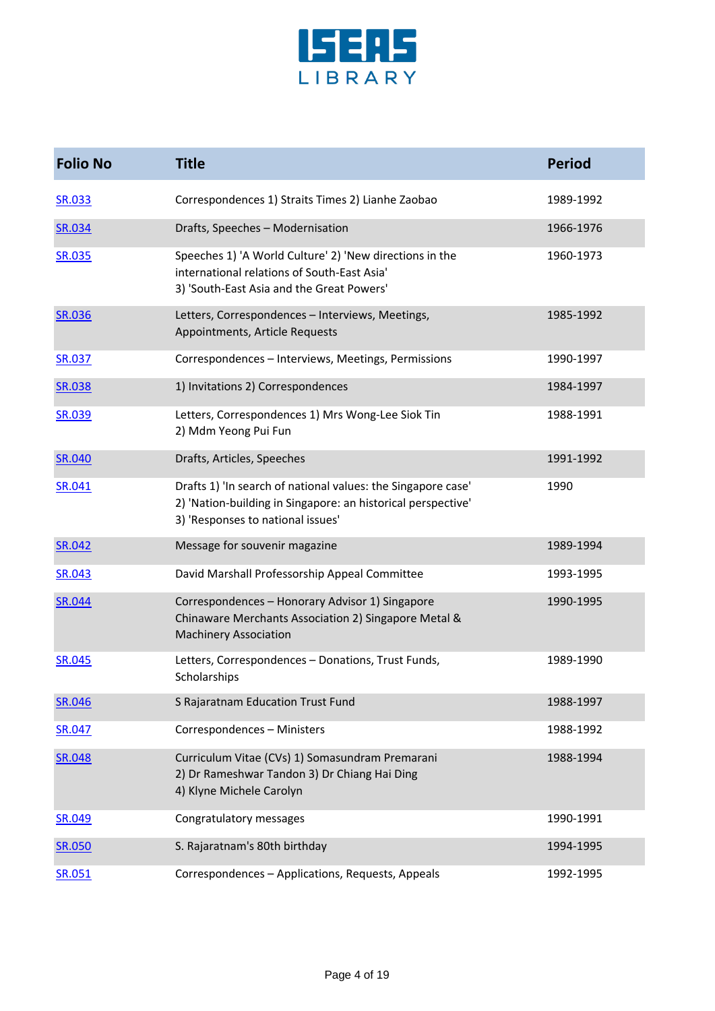

| <b>Folio No</b> | <b>Title</b>                                                                                                                                                      | <b>Period</b> |
|-----------------|-------------------------------------------------------------------------------------------------------------------------------------------------------------------|---------------|
| <b>SR.033</b>   | Correspondences 1) Straits Times 2) Lianhe Zaobao                                                                                                                 | 1989-1992     |
| SR.034          | Drafts, Speeches - Modernisation                                                                                                                                  | 1966-1976     |
| SR.035          | Speeches 1) 'A World Culture' 2) 'New directions in the<br>international relations of South-East Asia'<br>3) 'South-East Asia and the Great Powers'               | 1960-1973     |
| <b>SR.036</b>   | Letters, Correspondences - Interviews, Meetings,<br>Appointments, Article Requests                                                                                | 1985-1992     |
| <b>SR.037</b>   | Correspondences - Interviews, Meetings, Permissions                                                                                                               | 1990-1997     |
| SR.038          | 1) Invitations 2) Correspondences                                                                                                                                 | 1984-1997     |
| SR.039          | Letters, Correspondences 1) Mrs Wong-Lee Siok Tin<br>2) Mdm Yeong Pui Fun                                                                                         | 1988-1991     |
| SR.040          | Drafts, Articles, Speeches                                                                                                                                        | 1991-1992     |
| SR.041          | Drafts 1) 'In search of national values: the Singapore case'<br>2) 'Nation-building in Singapore: an historical perspective'<br>3) 'Responses to national issues' | 1990          |
| SR.042          | Message for souvenir magazine                                                                                                                                     | 1989-1994     |
| SR.043          | David Marshall Professorship Appeal Committee                                                                                                                     | 1993-1995     |
| SR.044          | Correspondences - Honorary Advisor 1) Singapore<br>Chinaware Merchants Association 2) Singapore Metal &<br><b>Machinery Association</b>                           | 1990-1995     |
| <b>SR.045</b>   | Letters, Correspondences - Donations, Trust Funds,<br>Scholarships                                                                                                | 1989-1990     |
| <b>SR.046</b>   | S Rajaratnam Education Trust Fund                                                                                                                                 | 1988-1997     |
| SR.047          | Correspondences - Ministers                                                                                                                                       | 1988-1992     |
| SR.048          | Curriculum Vitae (CVs) 1) Somasundram Premarani<br>2) Dr Rameshwar Tandon 3) Dr Chiang Hai Ding<br>4) Klyne Michele Carolyn                                       | 1988-1994     |
| SR.049          | Congratulatory messages                                                                                                                                           | 1990-1991     |
| SR.050          | S. Rajaratnam's 80th birthday                                                                                                                                     | 1994-1995     |
| SR.051          | Correspondences - Applications, Requests, Appeals                                                                                                                 | 1992-1995     |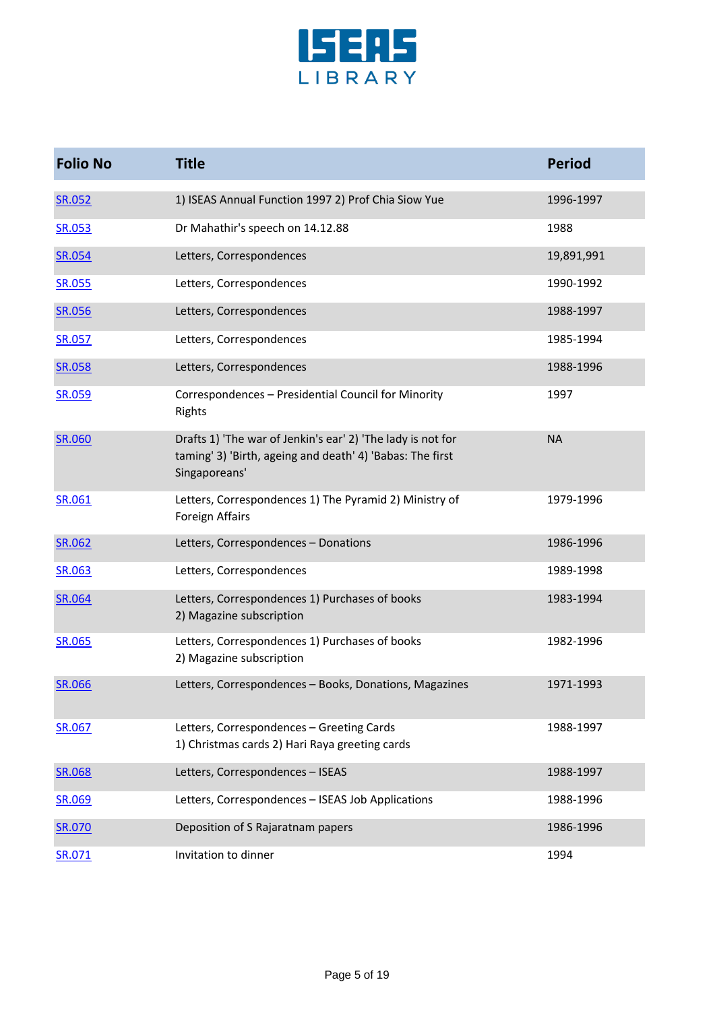

| <b>Folio No</b> | <b>Title</b>                                                                                                                              | <b>Period</b> |
|-----------------|-------------------------------------------------------------------------------------------------------------------------------------------|---------------|
| <b>SR.052</b>   | 1) ISEAS Annual Function 1997 2) Prof Chia Siow Yue                                                                                       | 1996-1997     |
| SR.053          | Dr Mahathir's speech on 14.12.88                                                                                                          | 1988          |
| SR.054          | Letters, Correspondences                                                                                                                  | 19,891,991    |
| SR.055          | Letters, Correspondences                                                                                                                  | 1990-1992     |
| SR.056          | Letters, Correspondences                                                                                                                  | 1988-1997     |
| <b>SR.057</b>   | Letters, Correspondences                                                                                                                  | 1985-1994     |
| SR.058          | Letters, Correspondences                                                                                                                  | 1988-1996     |
| <b>SR.059</b>   | Correspondences - Presidential Council for Minority<br>Rights                                                                             | 1997          |
| <b>SR.060</b>   | Drafts 1) 'The war of Jenkin's ear' 2) 'The lady is not for<br>taming' 3) 'Birth, ageing and death' 4) 'Babas: The first<br>Singaporeans' | <b>NA</b>     |
| SR.061          | Letters, Correspondences 1) The Pyramid 2) Ministry of<br>Foreign Affairs                                                                 | 1979-1996     |
| SR.062          | Letters, Correspondences - Donations                                                                                                      | 1986-1996     |
| SR.063          | Letters, Correspondences                                                                                                                  | 1989-1998     |
| SR.064          | Letters, Correspondences 1) Purchases of books<br>2) Magazine subscription                                                                | 1983-1994     |
| <b>SR.065</b>   | Letters, Correspondences 1) Purchases of books<br>2) Magazine subscription                                                                | 1982-1996     |
| SR.066          | Letters, Correspondences - Books, Donations, Magazines                                                                                    | 1971-1993     |
| SR.067          | Letters, Correspondences - Greeting Cards<br>1) Christmas cards 2) Hari Raya greeting cards                                               | 1988-1997     |
| SR.068          | Letters, Correspondences - ISEAS                                                                                                          | 1988-1997     |
| SR.069          | Letters, Correspondences - ISEAS Job Applications                                                                                         | 1988-1996     |
| SR.070          | Deposition of S Rajaratnam papers                                                                                                         | 1986-1996     |
| SR.071          | Invitation to dinner                                                                                                                      | 1994          |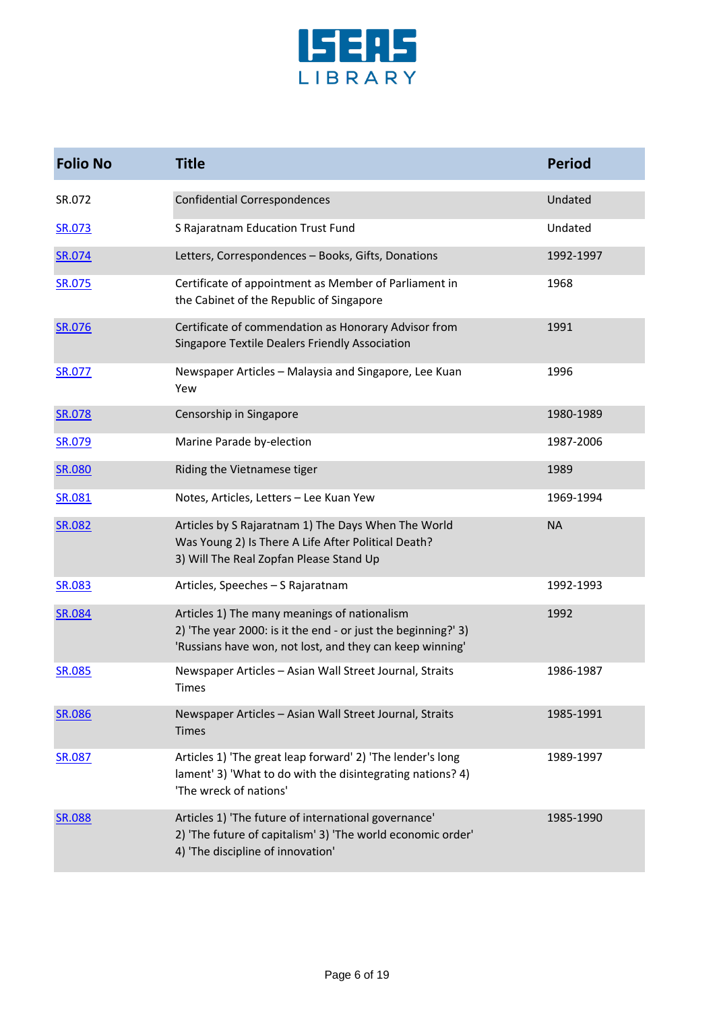

| <b>Folio No</b> | <b>Title</b>                                                                                                                                                              | <b>Period</b> |
|-----------------|---------------------------------------------------------------------------------------------------------------------------------------------------------------------------|---------------|
| SR.072          | <b>Confidential Correspondences</b>                                                                                                                                       | Undated       |
| SR.073          | S Rajaratnam Education Trust Fund                                                                                                                                         | Undated       |
| SR.074          | Letters, Correspondences - Books, Gifts, Donations                                                                                                                        | 1992-1997     |
| SR.075          | Certificate of appointment as Member of Parliament in<br>the Cabinet of the Republic of Singapore                                                                         | 1968          |
| SR.076          | Certificate of commendation as Honorary Advisor from<br>Singapore Textile Dealers Friendly Association                                                                    | 1991          |
| SR.077          | Newspaper Articles - Malaysia and Singapore, Lee Kuan<br>Yew                                                                                                              | 1996          |
| SR.078          | Censorship in Singapore                                                                                                                                                   | 1980-1989     |
| SR.079          | Marine Parade by-election                                                                                                                                                 | 1987-2006     |
| SR.080          | Riding the Vietnamese tiger                                                                                                                                               | 1989          |
| SR.081          | Notes, Articles, Letters - Lee Kuan Yew                                                                                                                                   | 1969-1994     |
| SR.082          | Articles by S Rajaratnam 1) The Days When The World<br>Was Young 2) Is There A Life After Political Death?<br>3) Will The Real Zopfan Please Stand Up                     | <b>NA</b>     |
| SR.083          | Articles, Speeches - S Rajaratnam                                                                                                                                         | 1992-1993     |
| SR.084          | Articles 1) The many meanings of nationalism<br>2) 'The year 2000: is it the end - or just the beginning?' 3)<br>'Russians have won, not lost, and they can keep winning' | 1992          |
| SR.085          | Newspaper Articles - Asian Wall Street Journal, Straits<br>Times                                                                                                          | 1986-1987     |
| SR.086          | Newspaper Articles - Asian Wall Street Journal, Straits<br>Times                                                                                                          | 1985-1991     |
| <b>SR.087</b>   | Articles 1) 'The great leap forward' 2) 'The lender's long<br>lament' 3) 'What to do with the disintegrating nations? 4)<br>'The wreck of nations'                        | 1989-1997     |
| <b>SR.088</b>   | Articles 1) 'The future of international governance'<br>2) 'The future of capitalism' 3) 'The world economic order'<br>4) 'The discipline of innovation'                  | 1985-1990     |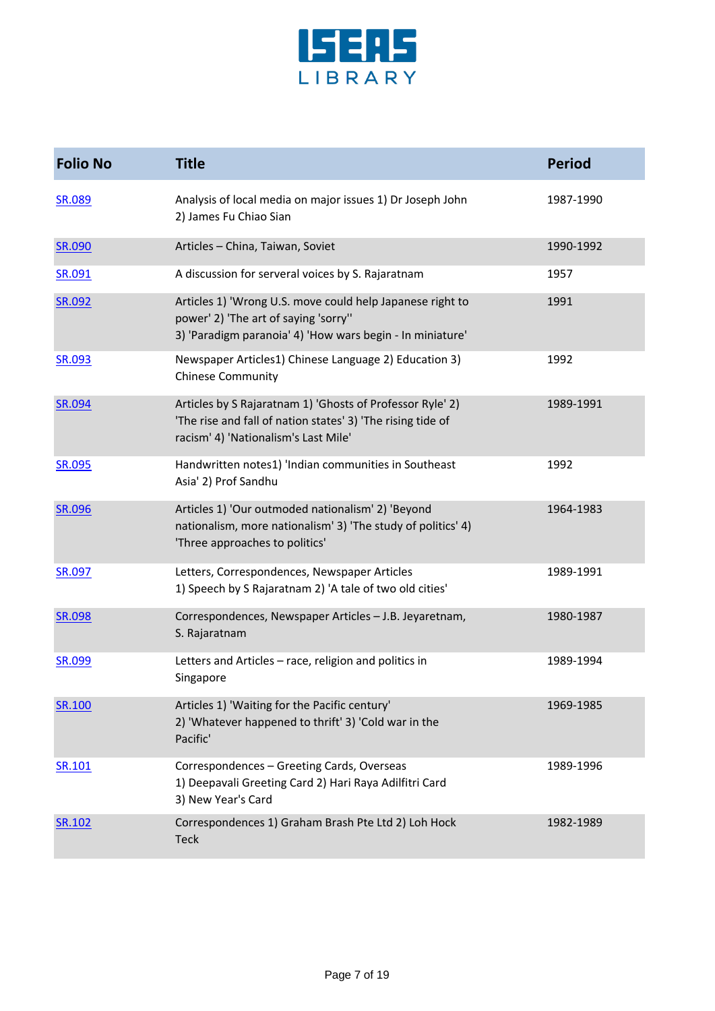

| <b>Folio No</b> | <b>Title</b>                                                                                                                                                     | <b>Period</b> |
|-----------------|------------------------------------------------------------------------------------------------------------------------------------------------------------------|---------------|
| <b>SR.089</b>   | Analysis of local media on major issues 1) Dr Joseph John<br>2) James Fu Chiao Sian                                                                              | 1987-1990     |
| SR.090          | Articles - China, Taiwan, Soviet                                                                                                                                 | 1990-1992     |
| SR.091          | A discussion for serveral voices by S. Rajaratnam                                                                                                                | 1957          |
| SR.092          | Articles 1) 'Wrong U.S. move could help Japanese right to<br>power' 2) 'The art of saying 'sorry''<br>3) 'Paradigm paranoia' 4) 'How wars begin - In miniature'  | 1991          |
| <b>SR.093</b>   | Newspaper Articles1) Chinese Language 2) Education 3)<br><b>Chinese Community</b>                                                                                | 1992          |
| SR.094          | Articles by S Rajaratnam 1) 'Ghosts of Professor Ryle' 2)<br>'The rise and fall of nation states' 3) 'The rising tide of<br>racism' 4) 'Nationalism's Last Mile' | 1989-1991     |
| SR.095          | Handwritten notes1) 'Indian communities in Southeast<br>Asia' 2) Prof Sandhu                                                                                     | 1992          |
| <b>SR.096</b>   | Articles 1) 'Our outmoded nationalism' 2) 'Beyond<br>nationalism, more nationalism' 3) 'The study of politics' 4)<br>'Three approaches to politics'              | 1964-1983     |
| SR.097          | Letters, Correspondences, Newspaper Articles<br>1) Speech by S Rajaratnam 2) 'A tale of two old cities'                                                          | 1989-1991     |
| <b>SR.098</b>   | Correspondences, Newspaper Articles - J.B. Jeyaretnam,<br>S. Rajaratnam                                                                                          | 1980-1987     |
| <b>SR.099</b>   | Letters and Articles - race, religion and politics in<br>Singapore                                                                                               | 1989-1994     |
| SR.100          | Articles 1) 'Waiting for the Pacific century'<br>2) 'Whatever happened to thrift' 3) 'Cold war in the<br>Pacific'                                                | 1969-1985     |
| SR.101          | Correspondences - Greeting Cards, Overseas<br>1) Deepavali Greeting Card 2) Hari Raya Adilfitri Card<br>3) New Year's Card                                       | 1989-1996     |
| SR.102          | Correspondences 1) Graham Brash Pte Ltd 2) Loh Hock<br><b>Teck</b>                                                                                               | 1982-1989     |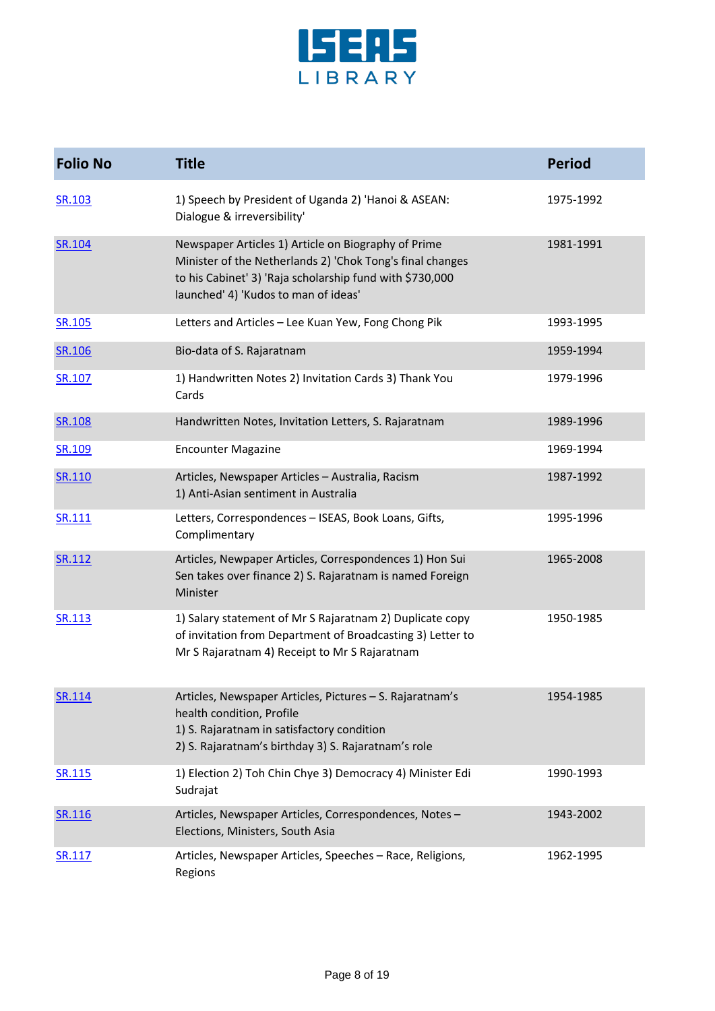

| <b>Folio No</b> | <b>Title</b>                                                                                                                                                                                                         | <b>Period</b> |
|-----------------|----------------------------------------------------------------------------------------------------------------------------------------------------------------------------------------------------------------------|---------------|
| SR.103          | 1) Speech by President of Uganda 2) 'Hanoi & ASEAN:<br>Dialogue & irreversibility'                                                                                                                                   | 1975-1992     |
| SR.104          | Newspaper Articles 1) Article on Biography of Prime<br>Minister of the Netherlands 2) 'Chok Tong's final changes<br>to his Cabinet' 3) 'Raja scholarship fund with \$730,000<br>launched' 4) 'Kudos to man of ideas' | 1981-1991     |
| SR.105          | Letters and Articles - Lee Kuan Yew, Fong Chong Pik                                                                                                                                                                  | 1993-1995     |
| SR.106          | Bio-data of S. Rajaratnam                                                                                                                                                                                            | 1959-1994     |
| SR.107          | 1) Handwritten Notes 2) Invitation Cards 3) Thank You<br>Cards                                                                                                                                                       | 1979-1996     |
| <b>SR.108</b>   | Handwritten Notes, Invitation Letters, S. Rajaratnam                                                                                                                                                                 | 1989-1996     |
| SR.109          | <b>Encounter Magazine</b>                                                                                                                                                                                            | 1969-1994     |
| SR.110          | Articles, Newspaper Articles - Australia, Racism<br>1) Anti-Asian sentiment in Australia                                                                                                                             | 1987-1992     |
| SR.111          | Letters, Correspondences - ISEAS, Book Loans, Gifts,<br>Complimentary                                                                                                                                                | 1995-1996     |
| SR.112          | Articles, Newpaper Articles, Correspondences 1) Hon Sui<br>Sen takes over finance 2) S. Rajaratnam is named Foreign<br>Minister                                                                                      | 1965-2008     |
| SR.113          | 1) Salary statement of Mr S Rajaratnam 2) Duplicate copy<br>of invitation from Department of Broadcasting 3) Letter to<br>Mr S Rajaratnam 4) Receipt to Mr S Rajaratnam                                              | 1950-1985     |
| SR.114          | Articles, Newspaper Articles, Pictures - S. Rajaratnam's<br>health condition, Profile<br>1) S. Rajaratnam in satisfactory condition<br>2) S. Rajaratnam's birthday 3) S. Rajaratnam's role                           | 1954-1985     |
| SR.115          | 1) Election 2) Toh Chin Chye 3) Democracy 4) Minister Edi<br>Sudrajat                                                                                                                                                | 1990-1993     |
| SR.116          | Articles, Newspaper Articles, Correspondences, Notes-<br>Elections, Ministers, South Asia                                                                                                                            | 1943-2002     |
| SR.117          | Articles, Newspaper Articles, Speeches - Race, Religions,<br>Regions                                                                                                                                                 | 1962-1995     |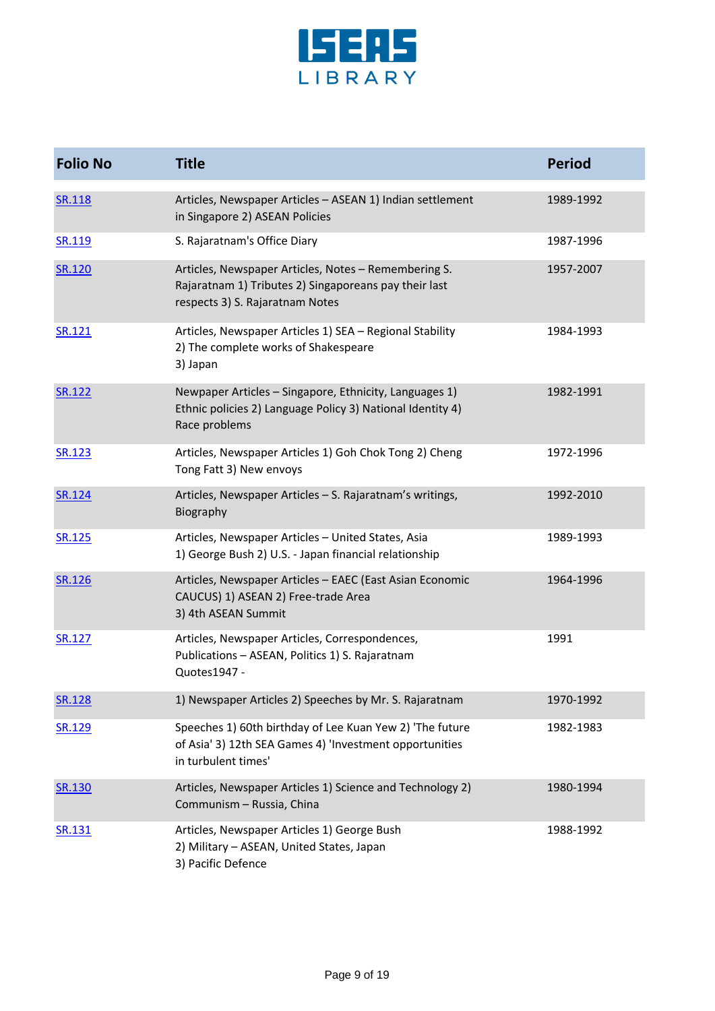

| <b>Folio No</b> | <b>Title</b>                                                                                                                                     | <b>Period</b> |
|-----------------|--------------------------------------------------------------------------------------------------------------------------------------------------|---------------|
| <b>SR.118</b>   | Articles, Newspaper Articles - ASEAN 1) Indian settlement<br>in Singapore 2) ASEAN Policies                                                      | 1989-1992     |
| SR.119          | S. Rajaratnam's Office Diary                                                                                                                     | 1987-1996     |
| SR.120          | Articles, Newspaper Articles, Notes - Remembering S.<br>Rajaratnam 1) Tributes 2) Singaporeans pay their last<br>respects 3) S. Rajaratnam Notes | 1957-2007     |
| SR.121          | Articles, Newspaper Articles 1) SEA - Regional Stability<br>2) The complete works of Shakespeare<br>3) Japan                                     | 1984-1993     |
| SR.122          | Newpaper Articles - Singapore, Ethnicity, Languages 1)<br>Ethnic policies 2) Language Policy 3) National Identity 4)<br>Race problems            | 1982-1991     |
| SR.123          | Articles, Newspaper Articles 1) Goh Chok Tong 2) Cheng<br>Tong Fatt 3) New envoys                                                                | 1972-1996     |
| SR.124          | Articles, Newspaper Articles - S. Rajaratnam's writings,<br>Biography                                                                            | 1992-2010     |
| SR.125          | Articles, Newspaper Articles - United States, Asia<br>1) George Bush 2) U.S. - Japan financial relationship                                      | 1989-1993     |
| SR.126          | Articles, Newspaper Articles - EAEC (East Asian Economic<br>CAUCUS) 1) ASEAN 2) Free-trade Area<br>3) 4th ASEAN Summit                           | 1964-1996     |
| SR.127          | Articles, Newspaper Articles, Correspondences,<br>Publications - ASEAN, Politics 1) S. Rajaratnam<br>Quotes1947 -                                | 1991          |
| <b>SR.128</b>   | 1) Newspaper Articles 2) Speeches by Mr. S. Rajaratnam                                                                                           | 1970-1992     |
| SR.129          | Speeches 1) 60th birthday of Lee Kuan Yew 2) 'The future<br>of Asia' 3) 12th SEA Games 4) 'Investment opportunities<br>in turbulent times'       | 1982-1983     |
| <b>SR.130</b>   | Articles, Newspaper Articles 1) Science and Technology 2)<br>Communism - Russia, China                                                           | 1980-1994     |
| SR.131          | Articles, Newspaper Articles 1) George Bush<br>2) Military - ASEAN, United States, Japan<br>3) Pacific Defence                                   | 1988-1992     |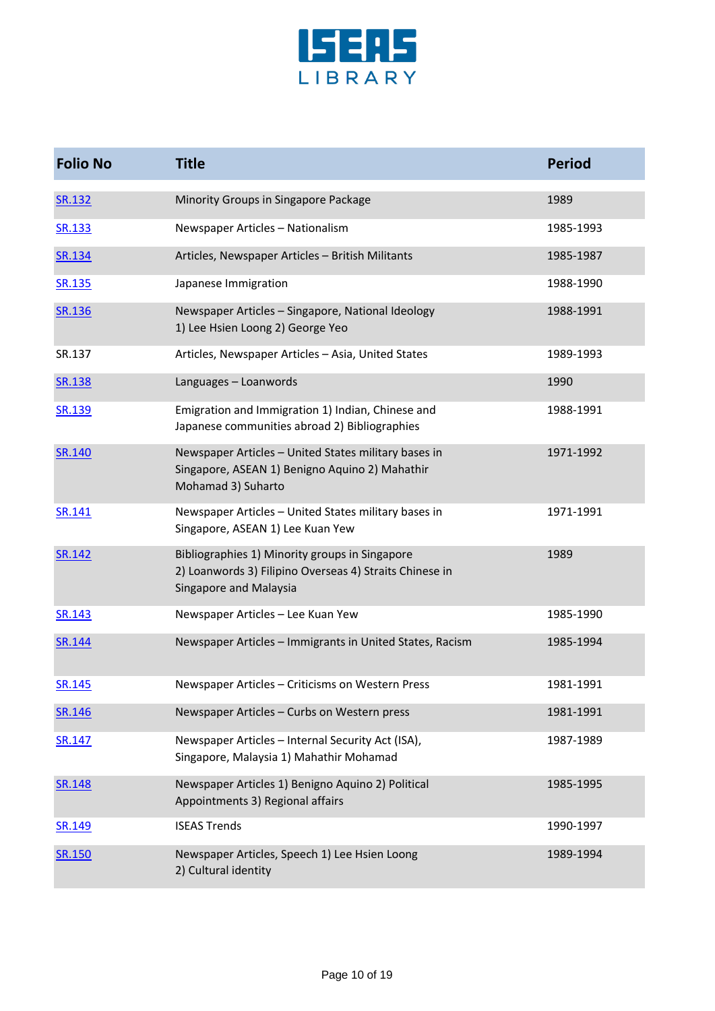

| <b>Folio No</b> | <b>Title</b>                                                                                                                        | <b>Period</b> |
|-----------------|-------------------------------------------------------------------------------------------------------------------------------------|---------------|
| SR.132          | Minority Groups in Singapore Package                                                                                                | 1989          |
| SR.133          | Newspaper Articles - Nationalism                                                                                                    | 1985-1993     |
| SR.134          | Articles, Newspaper Articles - British Militants                                                                                    | 1985-1987     |
| SR.135          | Japanese Immigration                                                                                                                | 1988-1990     |
| SR.136          | Newspaper Articles - Singapore, National Ideology<br>1) Lee Hsien Loong 2) George Yeo                                               | 1988-1991     |
| SR.137          | Articles, Newspaper Articles - Asia, United States                                                                                  | 1989-1993     |
| SR.138          | Languages - Loanwords                                                                                                               | 1990          |
| SR.139          | Emigration and Immigration 1) Indian, Chinese and<br>Japanese communities abroad 2) Bibliographies                                  | 1988-1991     |
| SR.140          | Newspaper Articles - United States military bases in<br>Singapore, ASEAN 1) Benigno Aquino 2) Mahathir<br>Mohamad 3) Suharto        | 1971-1992     |
| SR.141          | Newspaper Articles - United States military bases in<br>Singapore, ASEAN 1) Lee Kuan Yew                                            | 1971-1991     |
| SR.142          | Bibliographies 1) Minority groups in Singapore<br>2) Loanwords 3) Filipino Overseas 4) Straits Chinese in<br>Singapore and Malaysia | 1989          |
| SR.143          | Newspaper Articles - Lee Kuan Yew                                                                                                   | 1985-1990     |
| SR.144          | Newspaper Articles - Immigrants in United States, Racism                                                                            | 1985-1994     |
| SR.145          | Newspaper Articles - Criticisms on Western Press                                                                                    | 1981-1991     |
| SR.146          | Newspaper Articles - Curbs on Western press                                                                                         | 1981-1991     |
| SR.147          | Newspaper Articles - Internal Security Act (ISA),<br>Singapore, Malaysia 1) Mahathir Mohamad                                        | 1987-1989     |
| SR.148          | Newspaper Articles 1) Benigno Aquino 2) Political<br>Appointments 3) Regional affairs                                               | 1985-1995     |
| SR.149          | <b>ISEAS Trends</b>                                                                                                                 | 1990-1997     |
| SR.150          | Newspaper Articles, Speech 1) Lee Hsien Loong<br>2) Cultural identity                                                               | 1989-1994     |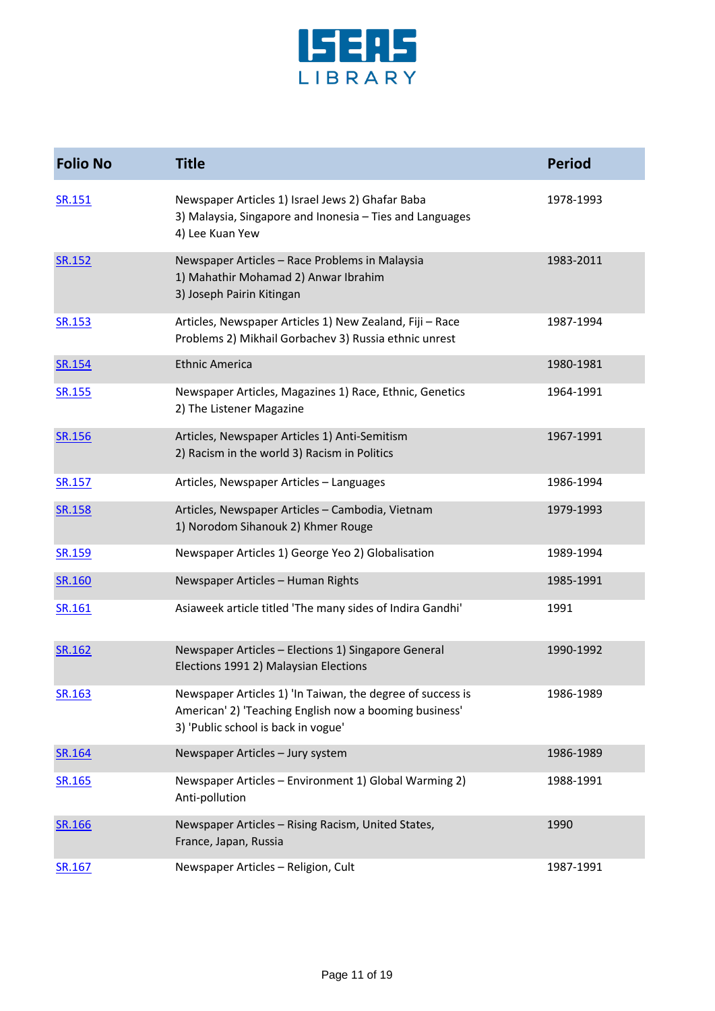

| <b>Folio No</b> | <b>Title</b>                                                                                                                                                | <b>Period</b> |
|-----------------|-------------------------------------------------------------------------------------------------------------------------------------------------------------|---------------|
| SR.151          | Newspaper Articles 1) Israel Jews 2) Ghafar Baba<br>3) Malaysia, Singapore and Inonesia - Ties and Languages<br>4) Lee Kuan Yew                             | 1978-1993     |
| SR.152          | Newspaper Articles - Race Problems in Malaysia<br>1) Mahathir Mohamad 2) Anwar Ibrahim<br>3) Joseph Pairin Kitingan                                         | 1983-2011     |
| SR.153          | Articles, Newspaper Articles 1) New Zealand, Fiji - Race<br>Problems 2) Mikhail Gorbachev 3) Russia ethnic unrest                                           | 1987-1994     |
| SR.154          | <b>Ethnic America</b>                                                                                                                                       | 1980-1981     |
| SR.155          | Newspaper Articles, Magazines 1) Race, Ethnic, Genetics<br>2) The Listener Magazine                                                                         | 1964-1991     |
| SR.156          | Articles, Newspaper Articles 1) Anti-Semitism<br>2) Racism in the world 3) Racism in Politics                                                               | 1967-1991     |
| SR.157          | Articles, Newspaper Articles - Languages                                                                                                                    | 1986-1994     |
| SR.158          | Articles, Newspaper Articles - Cambodia, Vietnam<br>1) Norodom Sihanouk 2) Khmer Rouge                                                                      | 1979-1993     |
| SR.159          | Newspaper Articles 1) George Yeo 2) Globalisation                                                                                                           | 1989-1994     |
| SR.160          | Newspaper Articles - Human Rights                                                                                                                           | 1985-1991     |
| SR.161          | Asiaweek article titled 'The many sides of Indira Gandhi'                                                                                                   | 1991          |
| SR.162          | Newspaper Articles - Elections 1) Singapore General<br>Elections 1991 2) Malaysian Elections                                                                | 1990-1992     |
| SR.163          | Newspaper Articles 1) 'In Taiwan, the degree of success is<br>American' 2) 'Teaching English now a booming business'<br>3) 'Public school is back in vogue' | 1986-1989     |
| SR.164          | Newspaper Articles - Jury system                                                                                                                            | 1986-1989     |
| SR.165          | Newspaper Articles - Environment 1) Global Warming 2)<br>Anti-pollution                                                                                     | 1988-1991     |
| SR.166          | Newspaper Articles - Rising Racism, United States,<br>France, Japan, Russia                                                                                 | 1990          |
| SR.167          | Newspaper Articles - Religion, Cult                                                                                                                         | 1987-1991     |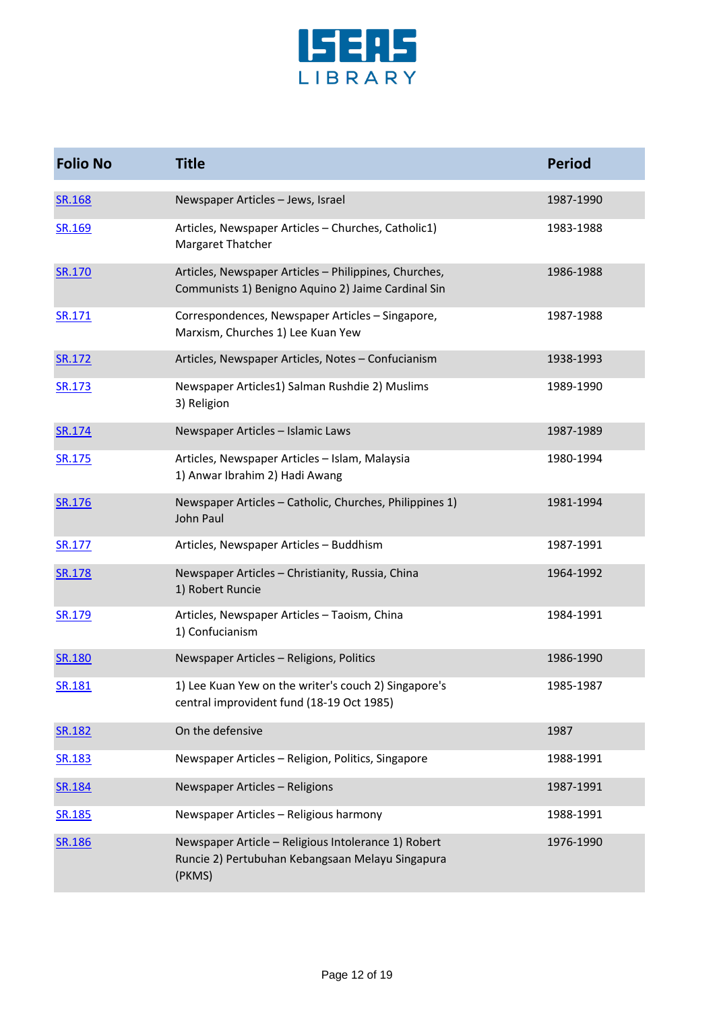

| <b>Folio No</b> | <b>Title</b>                                                                                                      | <b>Period</b> |
|-----------------|-------------------------------------------------------------------------------------------------------------------|---------------|
| <b>SR.168</b>   | Newspaper Articles - Jews, Israel                                                                                 | 1987-1990     |
| SR.169          | Articles, Newspaper Articles - Churches, Catholic1)<br>Margaret Thatcher                                          | 1983-1988     |
| SR.170          | Articles, Newspaper Articles - Philippines, Churches,<br>Communists 1) Benigno Aquino 2) Jaime Cardinal Sin       | 1986-1988     |
| SR.171          | Correspondences, Newspaper Articles - Singapore,<br>Marxism, Churches 1) Lee Kuan Yew                             | 1987-1988     |
| SR.172          | Articles, Newspaper Articles, Notes - Confucianism                                                                | 1938-1993     |
| SR.173          | Newspaper Articles1) Salman Rushdie 2) Muslims<br>3) Religion                                                     | 1989-1990     |
| SR.174          | Newspaper Articles - Islamic Laws                                                                                 | 1987-1989     |
| SR.175          | Articles, Newspaper Articles - Islam, Malaysia<br>1) Anwar Ibrahim 2) Hadi Awang                                  | 1980-1994     |
| SR.176          | Newspaper Articles - Catholic, Churches, Philippines 1)<br>John Paul                                              | 1981-1994     |
| SR.177          | Articles, Newspaper Articles - Buddhism                                                                           | 1987-1991     |
| SR.178          | Newspaper Articles - Christianity, Russia, China<br>1) Robert Runcie                                              | 1964-1992     |
| SR.179          | Articles, Newspaper Articles - Taoism, China<br>1) Confucianism                                                   | 1984-1991     |
| SR.180          | Newspaper Articles - Religions, Politics                                                                          | 1986-1990     |
| SR.181          | 1) Lee Kuan Yew on the writer's couch 2) Singapore's<br>central improvident fund (18-19 Oct 1985)                 | 1985-1987     |
| SR.182          | On the defensive                                                                                                  | 1987          |
| SR.183          | Newspaper Articles - Religion, Politics, Singapore                                                                | 1988-1991     |
| SR.184          | Newspaper Articles - Religions                                                                                    | 1987-1991     |
| SR.185          | Newspaper Articles - Religious harmony                                                                            | 1988-1991     |
| SR.186          | Newspaper Article - Religious Intolerance 1) Robert<br>Runcie 2) Pertubuhan Kebangsaan Melayu Singapura<br>(PKMS) | 1976-1990     |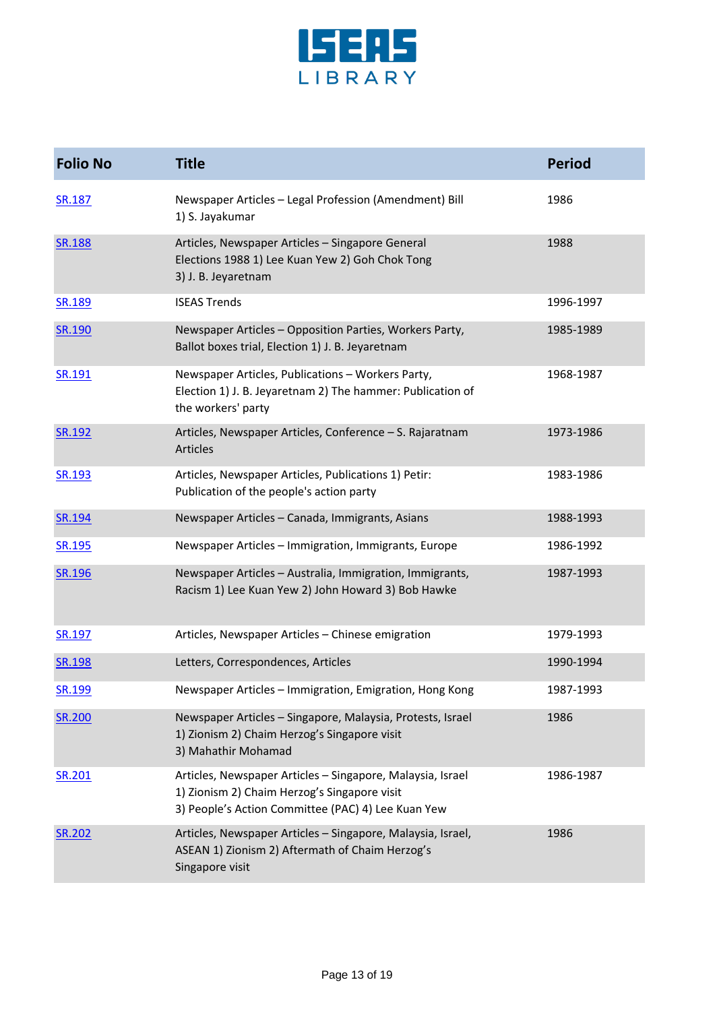

| <b>Folio No</b> | <b>Title</b>                                                                                                                                                     | <b>Period</b> |
|-----------------|------------------------------------------------------------------------------------------------------------------------------------------------------------------|---------------|
| SR.187          | Newspaper Articles - Legal Profession (Amendment) Bill<br>1) S. Jayakumar                                                                                        | 1986          |
| <b>SR.188</b>   | Articles, Newspaper Articles - Singapore General<br>Elections 1988 1) Lee Kuan Yew 2) Goh Chok Tong<br>3) J. B. Jeyaretnam                                       | 1988          |
| <b>SR.189</b>   | <b>ISEAS Trends</b>                                                                                                                                              | 1996-1997     |
| SR.190          | Newspaper Articles - Opposition Parties, Workers Party,<br>Ballot boxes trial, Election 1) J. B. Jeyaretnam                                                      | 1985-1989     |
| SR.191          | Newspaper Articles, Publications - Workers Party,<br>Election 1) J. B. Jeyaretnam 2) The hammer: Publication of<br>the workers' party                            | 1968-1987     |
| SR.192          | Articles, Newspaper Articles, Conference - S. Rajaratnam<br><b>Articles</b>                                                                                      | 1973-1986     |
| SR.193          | Articles, Newspaper Articles, Publications 1) Petir:<br>Publication of the people's action party                                                                 | 1983-1986     |
| SR.194          | Newspaper Articles - Canada, Immigrants, Asians                                                                                                                  | 1988-1993     |
| SR.195          | Newspaper Articles - Immigration, Immigrants, Europe                                                                                                             | 1986-1992     |
| SR.196          | Newspaper Articles - Australia, Immigration, Immigrants,<br>Racism 1) Lee Kuan Yew 2) John Howard 3) Bob Hawke                                                   | 1987-1993     |
| SR.197          | Articles, Newspaper Articles - Chinese emigration                                                                                                                | 1979-1993     |
| <b>SR.198</b>   | Letters, Correspondences, Articles                                                                                                                               | 1990-1994     |
| SR.199          | Newspaper Articles - Immigration, Emigration, Hong Kong                                                                                                          | 1987-1993     |
| SR.200          | Newspaper Articles - Singapore, Malaysia, Protests, Israel<br>1) Zionism 2) Chaim Herzog's Singapore visit<br>3) Mahathir Mohamad                                | 1986          |
| SR.201          | Articles, Newspaper Articles - Singapore, Malaysia, Israel<br>1) Zionism 2) Chaim Herzog's Singapore visit<br>3) People's Action Committee (PAC) 4) Lee Kuan Yew | 1986-1987     |
| SR.202          | Articles, Newspaper Articles - Singapore, Malaysia, Israel,<br>ASEAN 1) Zionism 2) Aftermath of Chaim Herzog's<br>Singapore visit                                | 1986          |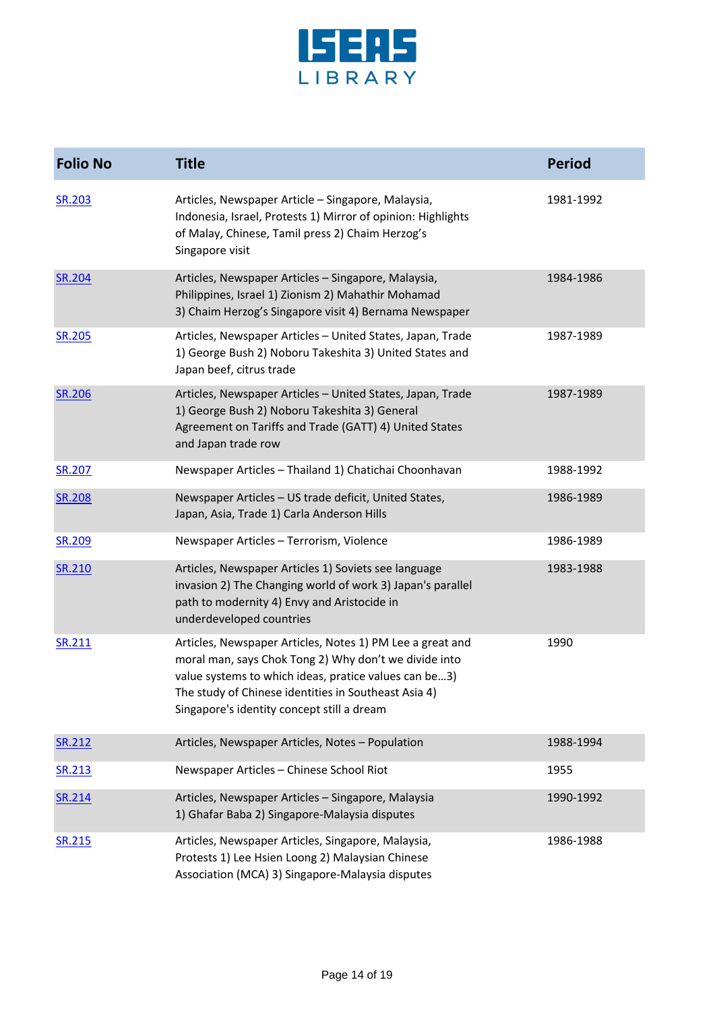

| <b>Folio No</b> | <b>Title</b>                                                                                                                                                                                                                                                                      | <b>Period</b> |
|-----------------|-----------------------------------------------------------------------------------------------------------------------------------------------------------------------------------------------------------------------------------------------------------------------------------|---------------|
| SR.203          | Articles, Newspaper Article - Singapore, Malaysia,<br>Indonesia, Israel, Protests 1) Mirror of opinion: Highlights<br>of Malay, Chinese, Tamil press 2) Chaim Herzog's<br>Singapore visit                                                                                         | 1981-1992     |
| <b>SR.204</b>   | Articles, Newspaper Articles - Singapore, Malaysia,<br>Philippines, Israel 1) Zionism 2) Mahathir Mohamad<br>3) Chaim Herzog's Singapore visit 4) Bernama Newspaper                                                                                                               | 1984-1986     |
| SR.205          | Articles, Newspaper Articles - United States, Japan, Trade<br>1) George Bush 2) Noboru Takeshita 3) United States and<br>Japan beef, citrus trade                                                                                                                                 | 1987-1989     |
| <b>SR.206</b>   | Articles, Newspaper Articles - United States, Japan, Trade<br>1) George Bush 2) Noboru Takeshita 3) General<br>Agreement on Tariffs and Trade (GATT) 4) United States<br>and Japan trade row                                                                                      | 1987-1989     |
| SR.207          | Newspaper Articles - Thailand 1) Chatichai Choonhavan                                                                                                                                                                                                                             | 1988-1992     |
| SR.208          | Newspaper Articles - US trade deficit, United States,<br>Japan, Asia, Trade 1) Carla Anderson Hills                                                                                                                                                                               | 1986-1989     |
| SR.209          | Newspaper Articles - Terrorism, Violence                                                                                                                                                                                                                                          | 1986-1989     |
| SR.210          | Articles, Newspaper Articles 1) Soviets see language<br>invasion 2) The Changing world of work 3) Japan's parallel<br>path to modernity 4) Envy and Aristocide in<br>underdeveloped countries                                                                                     | 1983-1988     |
| SR.211          | Articles, Newspaper Articles, Notes 1) PM Lee a great and<br>moral man, says Chok Tong 2) Why don't we divide into<br>value systems to which ideas, pratice values can be3)<br>The study of Chinese identities in Southeast Asia 4)<br>Singapore's identity concept still a dream | 1990          |
| SR.212          | Articles, Newspaper Articles, Notes - Population                                                                                                                                                                                                                                  | 1988-1994     |
| SR.213          | Newspaper Articles - Chinese School Riot                                                                                                                                                                                                                                          | 1955          |
| SR.214          | Articles, Newspaper Articles - Singapore, Malaysia<br>1) Ghafar Baba 2) Singapore-Malaysia disputes                                                                                                                                                                               | 1990-1992     |
| SR.215          | Articles, Newspaper Articles, Singapore, Malaysia,<br>Protests 1) Lee Hsien Loong 2) Malaysian Chinese<br>Association (MCA) 3) Singapore-Malaysia disputes                                                                                                                        | 1986-1988     |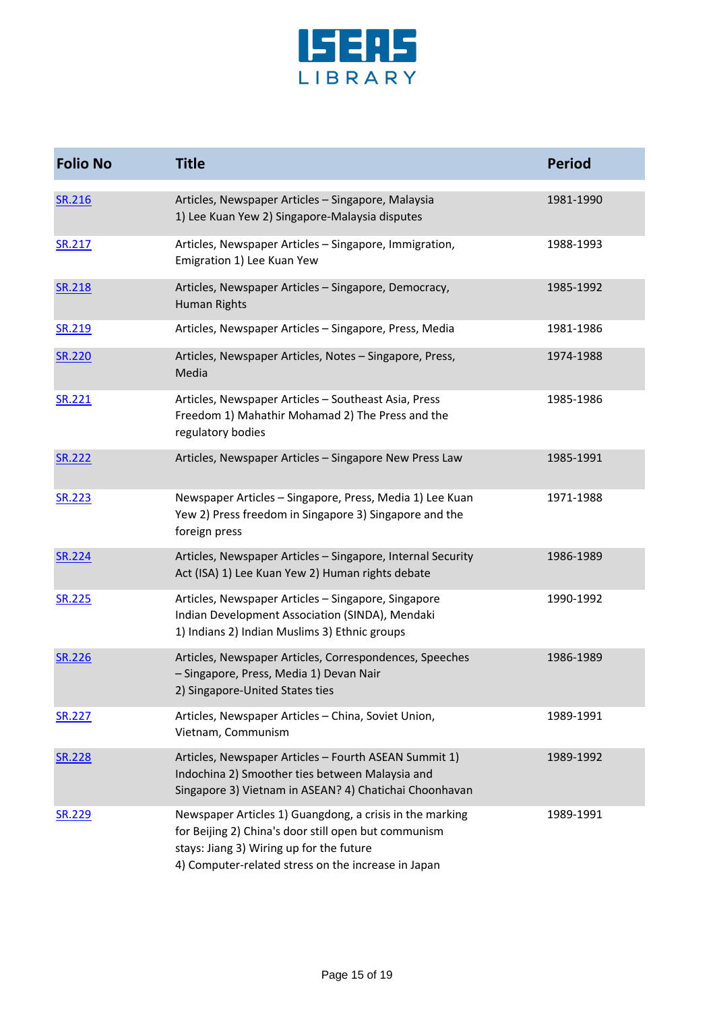

| <b>Folio No</b> | <b>Title</b>                                                                                                                                                                                                        | <b>Period</b> |
|-----------------|---------------------------------------------------------------------------------------------------------------------------------------------------------------------------------------------------------------------|---------------|
| SR.216          | Articles, Newspaper Articles - Singapore, Malaysia<br>1) Lee Kuan Yew 2) Singapore-Malaysia disputes                                                                                                                | 1981-1990     |
| SR.217          | Articles, Newspaper Articles - Singapore, Immigration,<br>Emigration 1) Lee Kuan Yew                                                                                                                                | 1988-1993     |
| SR.218          | Articles, Newspaper Articles - Singapore, Democracy,<br><b>Human Rights</b>                                                                                                                                         | 1985-1992     |
| SR.219          | Articles, Newspaper Articles - Singapore, Press, Media                                                                                                                                                              | 1981-1986     |
| SR.220          | Articles, Newspaper Articles, Notes - Singapore, Press,<br>Media                                                                                                                                                    | 1974-1988     |
| SR.221          | Articles, Newspaper Articles - Southeast Asia, Press<br>Freedom 1) Mahathir Mohamad 2) The Press and the<br>regulatory bodies                                                                                       | 1985-1986     |
| SR.222          | Articles, Newspaper Articles - Singapore New Press Law                                                                                                                                                              | 1985-1991     |
| SR.223          | Newspaper Articles - Singapore, Press, Media 1) Lee Kuan<br>Yew 2) Press freedom in Singapore 3) Singapore and the<br>foreign press                                                                                 | 1971-1988     |
| SR.224          | Articles, Newspaper Articles - Singapore, Internal Security<br>Act (ISA) 1) Lee Kuan Yew 2) Human rights debate                                                                                                     | 1986-1989     |
| SR.225          | Articles, Newspaper Articles - Singapore, Singapore<br>Indian Development Association (SINDA), Mendaki<br>1) Indians 2) Indian Muslims 3) Ethnic groups                                                             | 1990-1992     |
| SR.226          | Articles, Newspaper Articles, Correspondences, Speeches<br>- Singapore, Press, Media 1) Devan Nair<br>2) Singapore-United States ties                                                                               | 1986-1989     |
| SR.227          | Articles, Newspaper Articles - China, Soviet Union,<br>Vietnam, Communism                                                                                                                                           | 1989-1991     |
| SR.228          | Articles, Newspaper Articles - Fourth ASEAN Summit 1)<br>Indochina 2) Smoother ties between Malaysia and<br>Singapore 3) Vietnam in ASEAN? 4) Chatichai Choonhavan                                                  | 1989-1992     |
| SR.229          | Newspaper Articles 1) Guangdong, a crisis in the marking<br>for Beijing 2) China's door still open but communism<br>stays: Jiang 3) Wiring up for the future<br>4) Computer-related stress on the increase in Japan | 1989-1991     |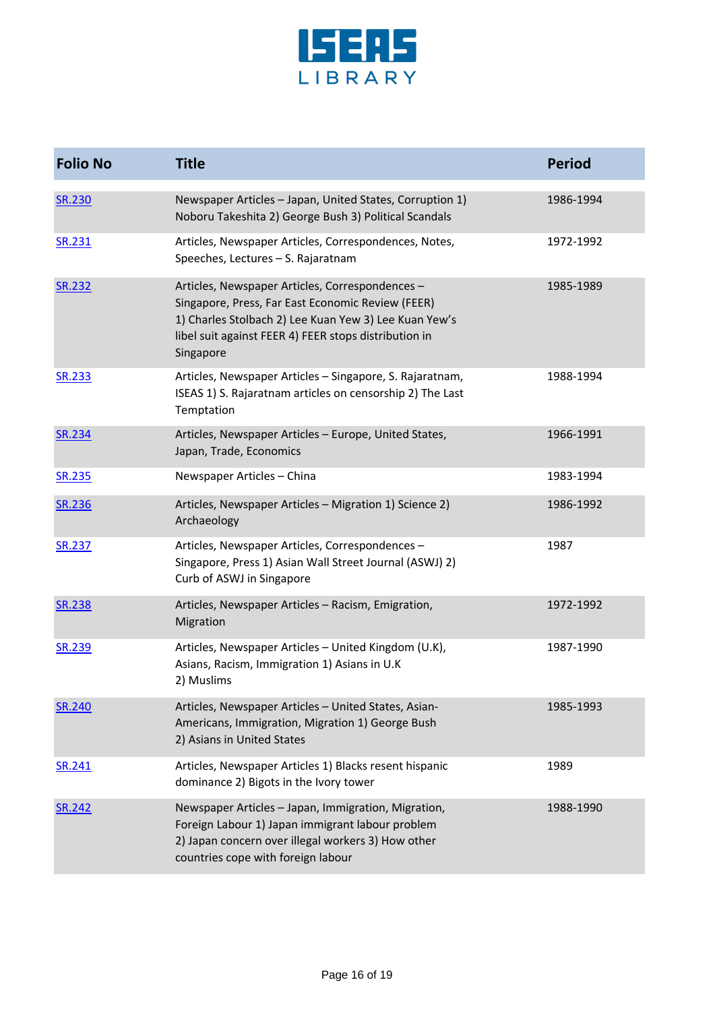

| <b>Folio No</b> | <b>Title</b>                                                                                                                                                                                                                        | <b>Period</b> |
|-----------------|-------------------------------------------------------------------------------------------------------------------------------------------------------------------------------------------------------------------------------------|---------------|
| <b>SR.230</b>   | Newspaper Articles - Japan, United States, Corruption 1)<br>Noboru Takeshita 2) George Bush 3) Political Scandals                                                                                                                   | 1986-1994     |
| SR.231          | Articles, Newspaper Articles, Correspondences, Notes,<br>Speeches, Lectures - S. Rajaratnam                                                                                                                                         | 1972-1992     |
| <b>SR.232</b>   | Articles, Newspaper Articles, Correspondences -<br>Singapore, Press, Far East Economic Review (FEER)<br>1) Charles Stolbach 2) Lee Kuan Yew 3) Lee Kuan Yew's<br>libel suit against FEER 4) FEER stops distribution in<br>Singapore | 1985-1989     |
| SR.233          | Articles, Newspaper Articles - Singapore, S. Rajaratnam,<br>ISEAS 1) S. Rajaratnam articles on censorship 2) The Last<br>Temptation                                                                                                 | 1988-1994     |
| <b>SR.234</b>   | Articles, Newspaper Articles - Europe, United States,<br>Japan, Trade, Economics                                                                                                                                                    | 1966-1991     |
| SR.235          | Newspaper Articles - China                                                                                                                                                                                                          | 1983-1994     |
| SR.236          | Articles, Newspaper Articles - Migration 1) Science 2)<br>Archaeology                                                                                                                                                               | 1986-1992     |
| <b>SR.237</b>   | Articles, Newspaper Articles, Correspondences -<br>Singapore, Press 1) Asian Wall Street Journal (ASWJ) 2)<br>Curb of ASWJ in Singapore                                                                                             | 1987          |
| <b>SR.238</b>   | Articles, Newspaper Articles - Racism, Emigration,<br>Migration                                                                                                                                                                     | 1972-1992     |
| <b>SR.239</b>   | Articles, Newspaper Articles - United Kingdom (U.K),<br>Asians, Racism, Immigration 1) Asians in U.K<br>2) Muslims                                                                                                                  | 1987-1990     |
| <b>SR.240</b>   | Articles, Newspaper Articles - United States, Asian-<br>Americans, Immigration, Migration 1) George Bush<br>2) Asians in United States                                                                                              | 1985-1993     |
| SR.241          | Articles, Newspaper Articles 1) Blacks resent hispanic<br>dominance 2) Bigots in the Ivory tower                                                                                                                                    | 1989          |
| SR.242          | Newspaper Articles - Japan, Immigration, Migration,<br>Foreign Labour 1) Japan immigrant labour problem<br>2) Japan concern over illegal workers 3) How other<br>countries cope with foreign labour                                 | 1988-1990     |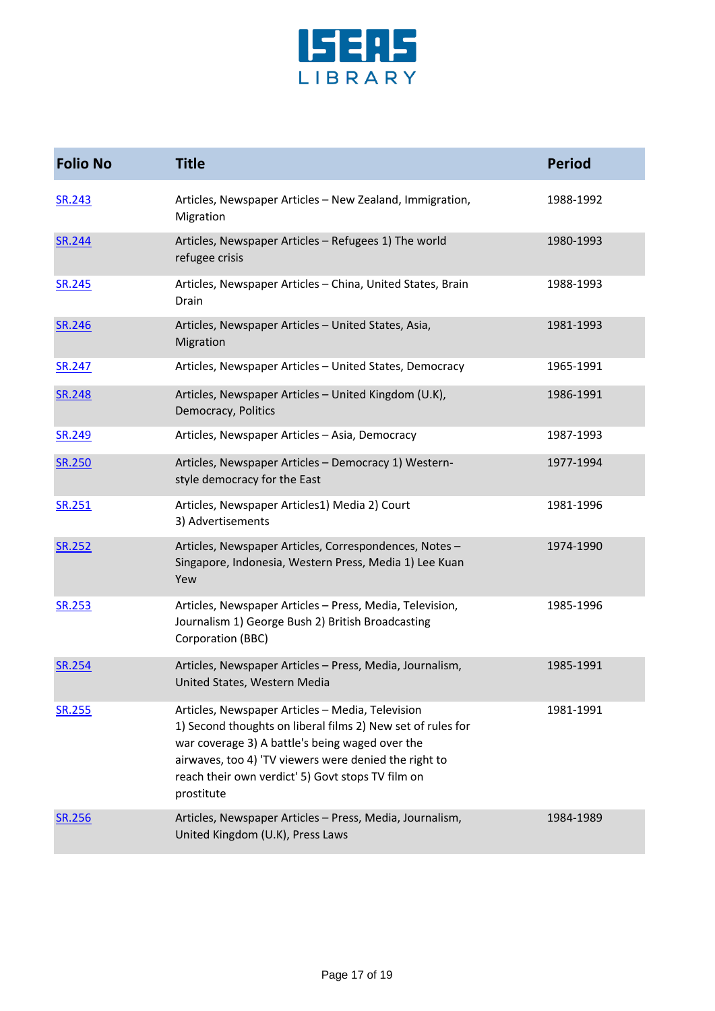

| <b>Folio No</b> | <b>Title</b>                                                                                                                                                                                                                                                                                   | <b>Period</b> |
|-----------------|------------------------------------------------------------------------------------------------------------------------------------------------------------------------------------------------------------------------------------------------------------------------------------------------|---------------|
| SR.243          | Articles, Newspaper Articles - New Zealand, Immigration,<br>Migration                                                                                                                                                                                                                          | 1988-1992     |
| SR.244          | Articles, Newspaper Articles - Refugees 1) The world<br>refugee crisis                                                                                                                                                                                                                         | 1980-1993     |
| <b>SR.245</b>   | Articles, Newspaper Articles - China, United States, Brain<br>Drain                                                                                                                                                                                                                            | 1988-1993     |
| SR.246          | Articles, Newspaper Articles - United States, Asia,<br>Migration                                                                                                                                                                                                                               | 1981-1993     |
| SR.247          | Articles, Newspaper Articles - United States, Democracy                                                                                                                                                                                                                                        | 1965-1991     |
| SR.248          | Articles, Newspaper Articles - United Kingdom (U.K),<br>Democracy, Politics                                                                                                                                                                                                                    | 1986-1991     |
| SR.249          | Articles, Newspaper Articles - Asia, Democracy                                                                                                                                                                                                                                                 | 1987-1993     |
| <b>SR.250</b>   | Articles, Newspaper Articles - Democracy 1) Western-<br>style democracy for the East                                                                                                                                                                                                           | 1977-1994     |
| SR.251          | Articles, Newspaper Articles1) Media 2) Court<br>3) Advertisements                                                                                                                                                                                                                             | 1981-1996     |
| SR.252          | Articles, Newspaper Articles, Correspondences, Notes-<br>Singapore, Indonesia, Western Press, Media 1) Lee Kuan<br>Yew                                                                                                                                                                         | 1974-1990     |
| <b>SR.253</b>   | Articles, Newspaper Articles - Press, Media, Television,<br>Journalism 1) George Bush 2) British Broadcasting<br>Corporation (BBC)                                                                                                                                                             | 1985-1996     |
| <b>SR.254</b>   | Articles, Newspaper Articles - Press, Media, Journalism,<br>United States, Western Media                                                                                                                                                                                                       | 1985-1991     |
| SR.255          | Articles, Newspaper Articles - Media, Television<br>1) Second thoughts on liberal films 2) New set of rules for<br>war coverage 3) A battle's being waged over the<br>airwaves, too 4) 'TV viewers were denied the right to<br>reach their own verdict' 5) Govt stops TV film on<br>prostitute | 1981-1991     |
| <b>SR.256</b>   | Articles, Newspaper Articles - Press, Media, Journalism,<br>United Kingdom (U.K), Press Laws                                                                                                                                                                                                   | 1984-1989     |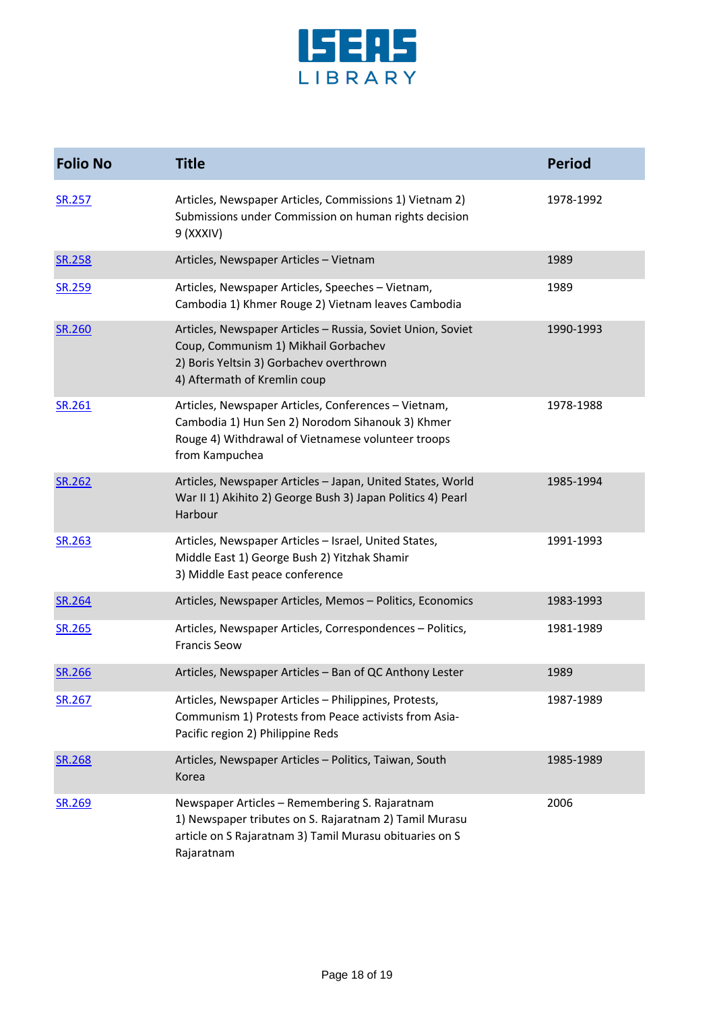

| <b>Folio No</b> | <b>Title</b>                                                                                                                                                                      | <b>Period</b> |
|-----------------|-----------------------------------------------------------------------------------------------------------------------------------------------------------------------------------|---------------|
| <b>SR.257</b>   | Articles, Newspaper Articles, Commissions 1) Vietnam 2)<br>Submissions under Commission on human rights decision<br>9 (XXXIV)                                                     | 1978-1992     |
| SR.258          | Articles, Newspaper Articles - Vietnam                                                                                                                                            | 1989          |
| SR.259          | Articles, Newspaper Articles, Speeches - Vietnam,<br>Cambodia 1) Khmer Rouge 2) Vietnam leaves Cambodia                                                                           | 1989          |
| SR.260          | Articles, Newspaper Articles - Russia, Soviet Union, Soviet<br>Coup, Communism 1) Mikhail Gorbachev<br>2) Boris Yeltsin 3) Gorbachev overthrown<br>4) Aftermath of Kremlin coup   | 1990-1993     |
| SR.261          | Articles, Newspaper Articles, Conferences - Vietnam,<br>Cambodia 1) Hun Sen 2) Norodom Sihanouk 3) Khmer<br>Rouge 4) Withdrawal of Vietnamese volunteer troops<br>from Kampuchea  | 1978-1988     |
| SR.262          | Articles, Newspaper Articles - Japan, United States, World<br>War II 1) Akihito 2) George Bush 3) Japan Politics 4) Pearl<br>Harbour                                              | 1985-1994     |
| SR.263          | Articles, Newspaper Articles - Israel, United States,<br>Middle East 1) George Bush 2) Yitzhak Shamir<br>3) Middle East peace conference                                          | 1991-1993     |
| SR.264          | Articles, Newspaper Articles, Memos - Politics, Economics                                                                                                                         | 1983-1993     |
| SR.265          | Articles, Newspaper Articles, Correspondences - Politics,<br><b>Francis Seow</b>                                                                                                  | 1981-1989     |
| SR.266          | Articles, Newspaper Articles - Ban of QC Anthony Lester                                                                                                                           | 1989          |
| SR.267          | Articles, Newspaper Articles - Philippines, Protests,<br>Communism 1) Protests from Peace activists from Asia-<br>Pacific region 2) Philippine Reds                               | 1987-1989     |
| SR.268          | Articles, Newspaper Articles - Politics, Taiwan, South<br>Korea                                                                                                                   | 1985-1989     |
| SR.269          | Newspaper Articles - Remembering S. Rajaratnam<br>1) Newspaper tributes on S. Rajaratnam 2) Tamil Murasu<br>article on S Rajaratnam 3) Tamil Murasu obituaries on S<br>Rajaratnam | 2006          |